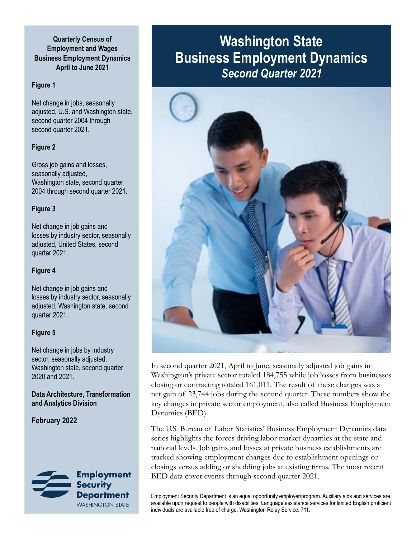### **Quarterly Census of Employment and Wages Business Employment Dynamics April to June 2021**

### **Figure 1**

Net change in jobs, seasonally adjusted, U.S. and Washington state, second quarter 2004 through second quarter 2021.

### **Figure 2**

Gross job gains and losses, seasonally adjusted. Washington state, second quarter 2004 through second quarter 2021.

### **Figure 3**

Net change in job gains and losses by industry sector, seasonally adjusted, United States, second quarter 2021.

#### **Figure 4**

Net change in job gains and losses by industry sector, seasonally adjusted, Washington state, second quarter 2021.

#### **Figure 5**

Net change in jobs by industry sector, seasonally adjusted, Washington state, second quarter 2020 and 2021.

**Data Architecture, Transformation and Analytics Division**

**February 2022**



**Employment Department** 

# **Washington State Business Employment Dynamics** *Second Quarter 2021*



In second quarter 2021, April to June, seasonally adjusted job gains in Washington's private sector totaled 184,755 while job losses from businesses closing or contracting totaled 161,011. The result of these changes was a net gain of 23,744 jobs during the second quarter. These numbers show the key changes in private sector employment, also called Business Employment Dynamics (BED).

The U.S. Bureau of Labor Statistics' Business Employment Dynamics data series highlights the forces driving labor market dynamics at the state and national levels. Job gains and losses at private business establishments are tracked showing employment changes due to establishment openings or closings versus adding or shedding jobs at existing firms. The most recent BED data cover events through second quarter 2021.

Employment Security Department is an equal opportunity employer/program. Auxiliary aids and services are available upon request to people with disabilities. Language assistance services for limited English proficient individuals are available free of charge. Washington Relay Service: 711.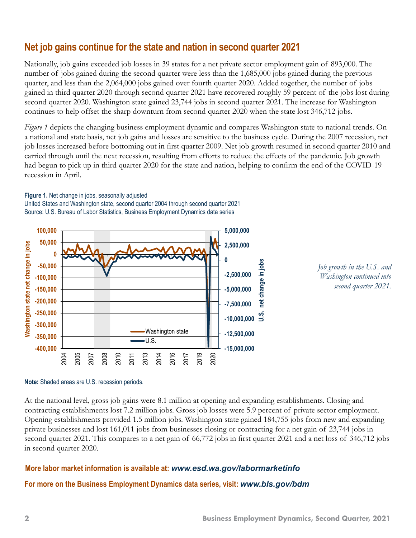## **Net job gains continue for the state and nation in second quarter 2021**

Nationally, job gains exceeded job losses in 39 states for a net private sector employment gain of 893,000. The number of jobs gained during the second quarter were less than the 1,685,000 jobs gained during the previous quarter, and less than the 2,064,000 jobs gained over fourth quarter 2020. Added together, the number of jobs gained in third quarter 2020 through second quarter 2021 have recovered roughly 59 percent of the jobs lost during second quarter 2020. Washington state gained 23,744 jobs in second quarter 2021. The increase for Washington continues to help offset the sharp downturn from second quarter 2020 when the state lost 346,712 jobs.

*Figure 1* depicts the changing business employment dynamic and compares Washington state to national trends. On a national and state basis, net job gains and losses are sensitive to the business cycle. During the 2007 recession, net job losses increased before bottoming out in first quarter 2009. Net job growth resumed in second quarter 2010 and carried through until the next recession, resulting from efforts to reduce the effects of the pandemic. Job growth had begun to pick up in third quarter 2020 for the state and nation, helping to confirm the end of the COVID-19 recession in April.

#### **Figure 1.** Net change in jobs, seasonally adjusted

United States and Washington state, second quarter 2004 through second quarter 2021 Source: U.S. Bureau of Labor Statistics, Business Employment Dynamics data series



#### **Note:** Shaded areas are U.S. recession periods.

At the national level, gross job gains were 8.1 million at opening and expanding establishments. Closing and contracting establishments lost 7.2 million jobs. Gross job losses were 5.9 percent of private sector employment. Opening establishments provided 1.5 million jobs. Washington state gained 184,755 jobs from new and expanding private businesses and lost 161,011 jobs from businesses closing or contracting for a net gain of 23,744 jobs in second quarter 2021. This compares to a net gain of 66,772 jobs in first quarter 2021 and a net loss of 346,712 jobs in second quarter 2020.

#### **More labor market information is available at:** *[www.esd.wa.gov/labormarketinfo](http://www.esd.wa.gov/labormarketinfo)*

**For more on the Business Employment Dynamics data series, visit:** *[www.bls.gov/bdm](http://www.bls.gov/bdm)*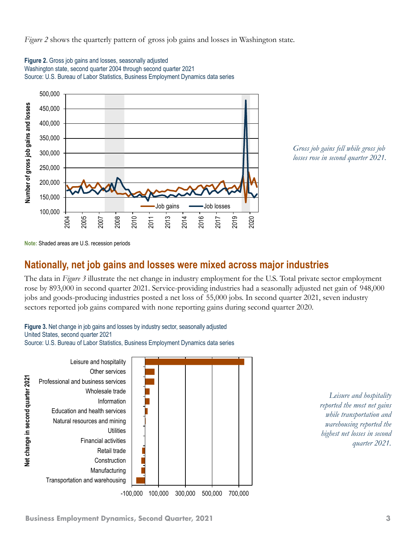*Figure 2* shows the quarterly pattern of gross job gains and losses in Washington state.

Washington state, second quarter 2004 through second quarter 2021 Source: U.S. Bureau of Labor Statistics, Business Employment Dynamics data series 500,000 lumber of gross job gains and losses **Number of gross job gains and losses**  450,000 400,000 350,000

**Figure 2.** Gross job gains and losses, seasonally adjusted



**Note:** Shaded areas are U.S. recession periods

2005

2007

2008

2010

2011

2013

2004

100,000

150,000

200,000

250,000

300,000

### **Nationally, net job gains and losses were mixed across major industries**

2014

2016

Job gains **In Algebra** Job losses

2017

2019

2020

The data in *Figure 3* illustrate the net change in industry employment for the U.S. Total private sector employment rose by 893,000 in second quarter 2021. Service-providing industries had a seasonally adjusted net gain of 948,000 jobs and goods-producing industries posted a net loss of 55,000 jobs. In second quarter 2021, seven industry sectors reported job gains compared with none reporting gains during second quarter 2020.



*Leisure and hospitality reported the most net gains while transportation and warehousing reported the highest net losses in second quarter 2021.*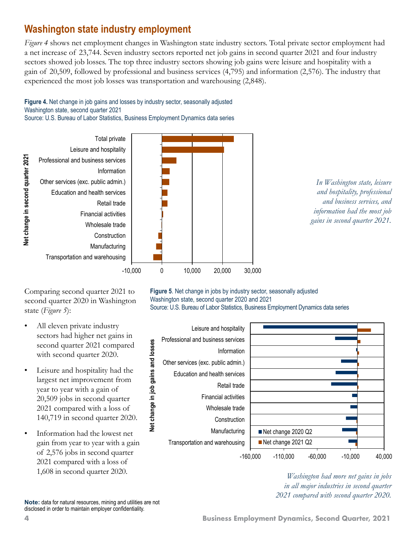# **Washington state industry employment**

*Figure 4* shows net employment changes in Washington state industry sectors. Total private sector employment had a net increase of 23,744. Seven industry sectors reported net job gains in second quarter 2021 and four industry sectors showed job losses. The top three industry sectors showing job gains were leisure and hospitality with a gain of 20,509, followed by professional and business services (4,795) and information (2,576). The industry that experienced the most job losses was transportation and warehousing (2,848).

### **Figure 4.** Net change in job gains and losses by industry sector, seasonally adjusted Washington state, second quarter 2021

Source: U.S. Bureau of Labor Statistics, Business Employment Dynamics data series



**Net change in second quarter 2021**

Net change in second quarter 2021





Comparing second quarter 2021 to second quarter 2020 in Washington state (*Figure 5*):

- All eleven private industry sectors had higher net gains in second quarter 2021 compared with second quarter 2020.
- Leisure and hospitality had the largest net improvement from year to year with a gain of 20,509 jobs in second quarter 2021 compared with a loss of 140,719 in second quarter 2020.
- Information had the lowest net gain from year to year with a gain of 2,576 jobs in second quarter 2021 compared with a loss of 1,608 in second quarter 2020.

**Figure 5**. Net change in jobs by industry sector, seasonally adjusted Washington state, second quarter 2020 and 2021 Source: U.S. Bureau of Labor Statistics, Business Employment Dynamics data series



*Washington had more net gains in jobs in all major industries in second quarter 2021 compared with second quarter 2020.* 

**Note:** data for natural resources, mining and utilities are not disclosed in order to maintain employer confidentiality.